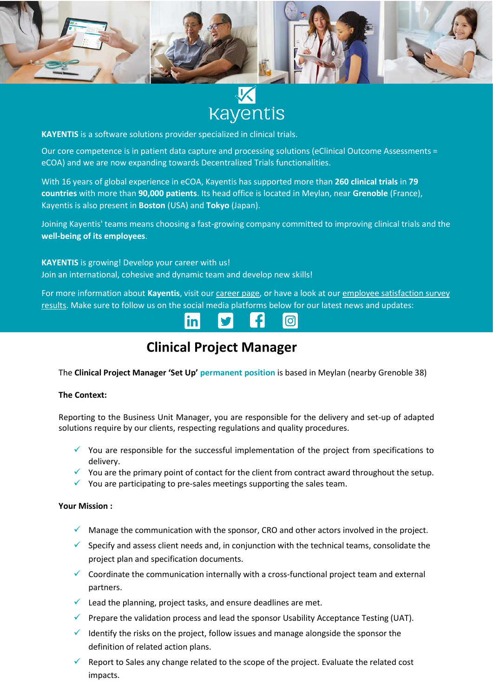

**Kayentis** 

**KAYENTIS** is a software solutions provider specialized in clinical trials.

Our core competence is in patient data capture and processing solutions (eClinical Outcome Assessments = eCOA) and we are now expanding towards Decentralized Trials functionalities.

With 16 years of global experience in eCOA, Kayentis has supported more than **260 clinical trials** in **79 countries** with more than **90,000 patients**. Its head office is located in Meylan, near **Grenoble** (France), Kayentis is also present in **Boston** (USA) and **Tokyo** (Japan).

Joining Kayentis' teams means choosing a fast-growing company committed to improving clinical trials and the **well-being of its employees**.

**KAYENTIS** is growing! Develop your career with us! Join an international, cohesive and dynamic team and develop new skills!

For more information about Kayentis, visit ou[r career page,](https://kayentis.com/about-us/careers/) or have a look at our employee satisfaction survey [results.](https://kayentis.com/2020-employee-satisfaction-survey/) Make sure to follow us on the social media platforms below for our latest news and updates:



# **Clinical Project Manager**

The **Clinical Project Manager 'Set Up' permanent position** is based in Meylan (nearby Grenoble 38)

## **The Context:**

Reporting to the Business Unit Manager, you are responsible for the delivery and set-up of adapted solutions require by our clients, respecting regulations and quality procedures.

- $\checkmark$  You are responsible for the successful implementation of the project from specifications to delivery.
- $\checkmark$  You are the primary point of contact for the client from contract award throughout the setup.
- $\checkmark$  You are participating to pre-sales meetings supporting the sales team.

## **Your Mission :**

- $\checkmark$  Manage the communication with the sponsor, CRO and other actors involved in the project.
- $\checkmark$  Specify and assess client needs and, in conjunction with the technical teams, consolidate the project plan and specification documents.
- ✓ Coordinate the communication internally with a cross-functional project team and external partners.
- $\checkmark$  Lead the planning, project tasks, and ensure deadlines are met.
- $\checkmark$  Prepare the validation process and lead the sponsor Usability Acceptance Testing (UAT).
- $\checkmark$  Identify the risks on the project, follow issues and manage alongside the sponsor the definition of related action plans.
- $\checkmark$  Report to Sales any change related to the scope of the project. Evaluate the related cost impacts.